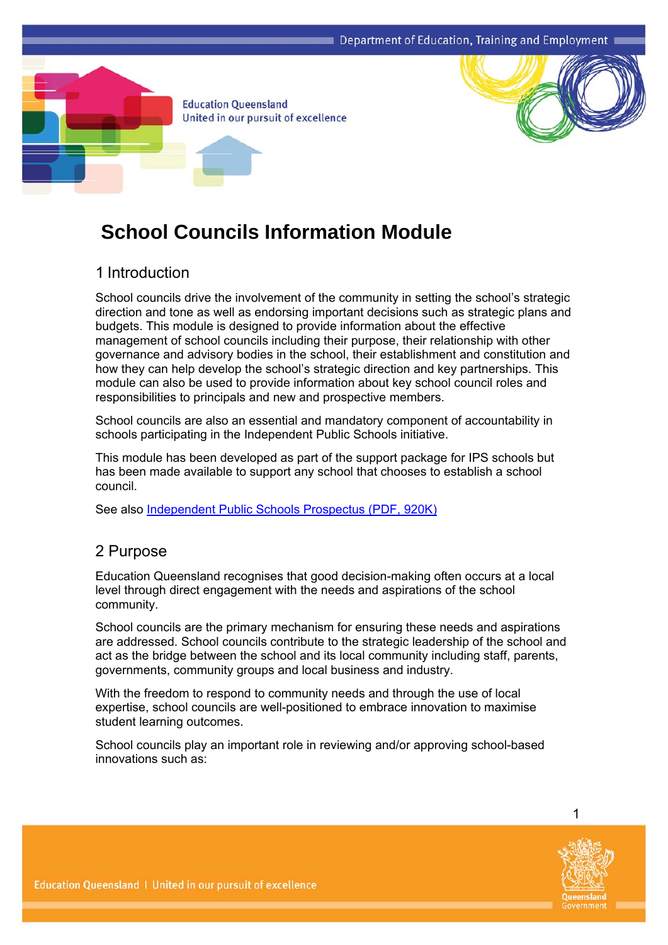



# **School Councils Information Module**

## 1 Introduction

School councils drive the involvement of the community in setting the school's strategic direction and tone as well as endorsing important decisions such as strategic plans and budgets. This module is designed to provide information about the effective management of school councils including their purpose, their relationship with other governance and advisory bodies in the school, their establishment and constitution and how they can help develop the school's strategic direction and key partnerships. This module can also be used to provide information about key school council roles and responsibilities to principals and new and prospective members.

School councils are also an essential and mandatory component of accountability in schools participating in the Independent Public Schools initiative.

This module has been developed as part of the support package for IPS schools but has been made available to support any school that chooses to establish a school council.

See also [Independent Public Schools Prospectus](https://oneportal.deta.qld.gov.au/EducationDelivery/IndependentPublicSchools/Documents/ips-prospectus.pdf) (PDF, 920K)

### 2 Purpose

Education Queensland recognises that good decision-making often occurs at a local level through direct engagement with the needs and aspirations of the school community.

School councils are the primary mechanism for ensuring these needs and aspirations are addressed. School councils contribute to the strategic leadership of the school and act as the bridge between the school and its local community including staff, parents, governments, community groups and local business and industry.

With the freedom to respond to community needs and through the use of local expertise, school councils are well-positioned to embrace innovation to maximise student learning outcomes.

School councils play an important role in reviewing and/or approving school-based innovations such as:

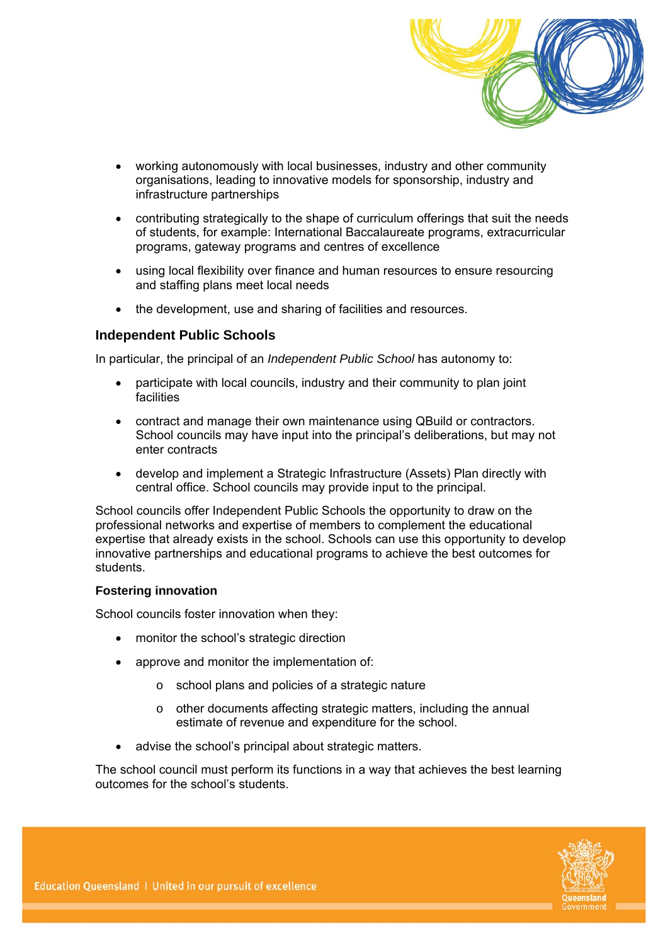

- working autonomously with local businesses, industry and other community organisations, leading to innovative models for sponsorship, industry and infrastructure partnerships
- contributing strategically to the shape of curriculum offerings that suit the needs of students, for example: International Baccalaureate programs, extracurricular programs, gateway programs and centres of excellence
- using local flexibility over finance and human resources to ensure resourcing and staffing plans meet local needs
- the development, use and sharing of facilities and resources.

#### **Independent Public Schools**

In particular, the principal of an *Independent Public School* has autonomy to:

- participate with local councils, industry and their community to plan joint facilities
- contract and manage their own maintenance using QBuild or contractors. School councils may have input into the principal's deliberations, but may not enter contracts
- develop and implement a Strategic Infrastructure (Assets) Plan directly with central office. School councils may provide input to the principal.

School councils offer Independent Public Schools the opportunity to draw on the professional networks and expertise of members to complement the educational expertise that already exists in the school. Schools can use this opportunity to develop innovative partnerships and educational programs to achieve the best outcomes for students.

#### **Fostering innovation**

School councils foster innovation when they:

- monitor the school's strategic direction
- approve and monitor the implementation of:
	- o school plans and policies of a strategic nature
	- o other documents affecting strategic matters, including the annual estimate of revenue and expenditure for the school.
- advise the school's principal about strategic matters.

The school council must perform its functions in a way that achieves the best learning outcomes for the school's students.

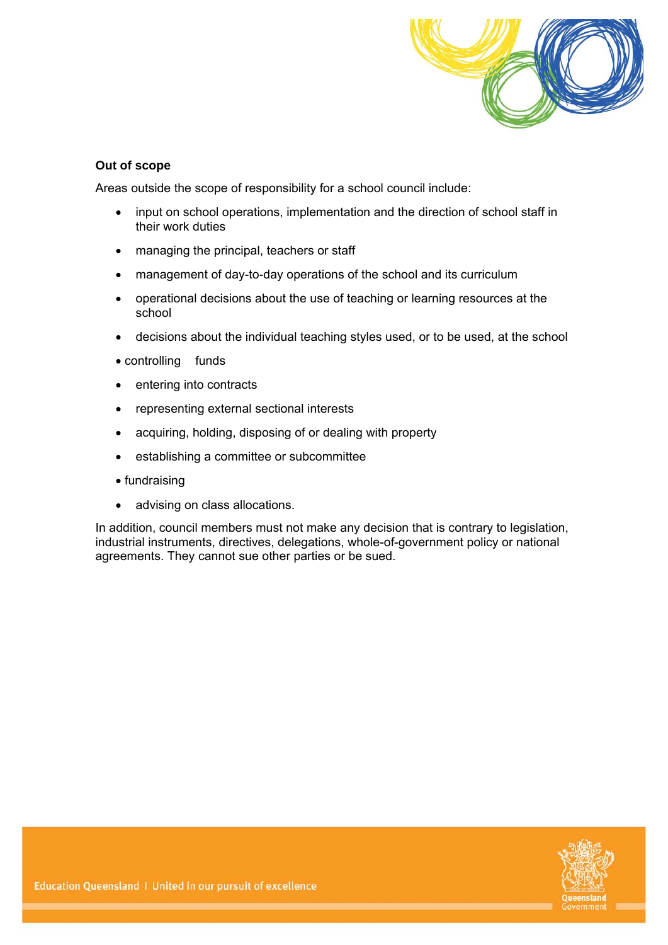

#### **Out of scope**

Areas outside the scope of responsibility for a school council include:

- input on school operations, implementation and the direction of school staff in their work duties
- managing the principal, teachers or staff
- management of day-to-day operations of the school and its curriculum
- operational decisions about the use of teaching or learning resources at the school
- decisions about the individual teaching styles used, or to be used, at the school
- controlling funds
- entering into contracts
- representing external sectional interests
- acquiring, holding, disposing of or dealing with property
- establishing a committee or subcommittee
- fundraising
- advising on class allocations.

In addition, council members must not make any decision that is contrary to legislation, industrial instruments, directives, delegations, whole-of-government policy or national agreements. They cannot sue other parties or be sued.

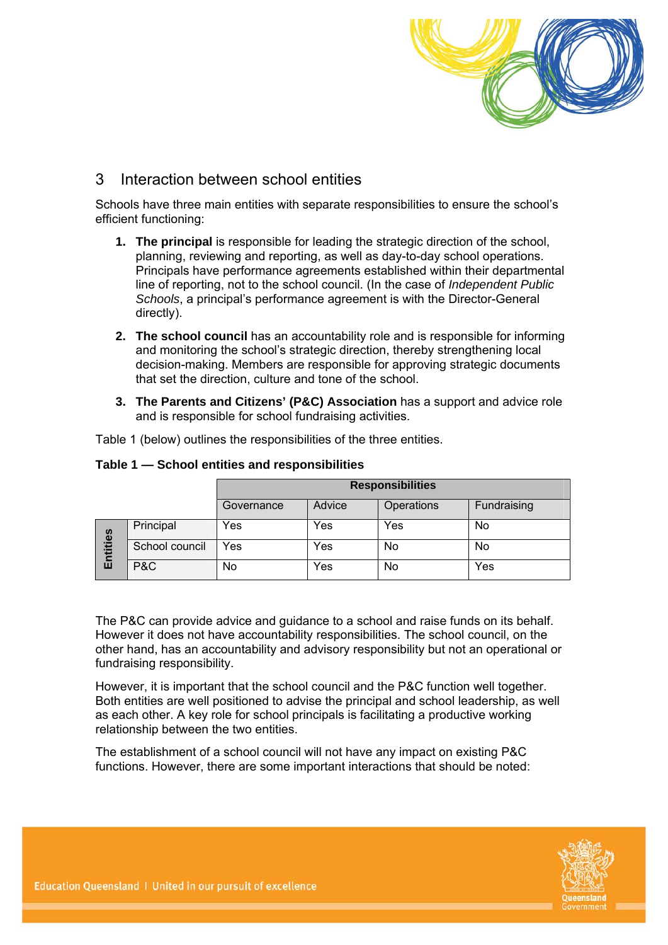

### 3 Interaction between school entities

Schools have three main entities with separate responsibilities to ensure the school's efficient functioning:

- **1. The principal** is responsible for leading the strategic direction of the school, planning, reviewing and reporting, as well as day-to-day school operations. Principals have performance agreements established within their departmental line of reporting, not to the school council. (In the case of *Independent Public Schools*, a principal's performance agreement is with the Director-General directly).
- **2. The school council** has an accountability role and is responsible for informing and monitoring the school's strategic direction, thereby strengthening local decision-making. Members are responsible for approving strategic documents that set the direction, culture and tone of the school.
- **3. The Parents and Citizens' (P&C) Association** has a support and advice role and is responsible for school fundraising activities.

Table 1 (below) outlines the responsibilities of the three entities.

|          |                | <b>Responsibilities</b> |        |            |             |  |
|----------|----------------|-------------------------|--------|------------|-------------|--|
|          |                | Governance              | Advice | Operations | Fundraising |  |
| Entities | Principal      | Yes                     | Yes    | Yes        | No          |  |
|          | School council | Yes                     | Yes    | No         | No          |  |
|          | P&C            | No                      | Yes    | No         | Yes         |  |

#### **Table 1 — School entities and responsibilities**

The P&C can provide advice and guidance to a school and raise funds on its behalf. However it does not have accountability responsibilities. The school council, on the other hand, has an accountability and advisory responsibility but not an operational or fundraising responsibility.

However, it is important that the school council and the P&C function well together. Both entities are well positioned to advise the principal and school leadership, as well as each other. A key role for school principals is facilitating a productive working relationship between the two entities.

The establishment of a school council will not have any impact on existing P&C functions. However, there are some important interactions that should be noted:

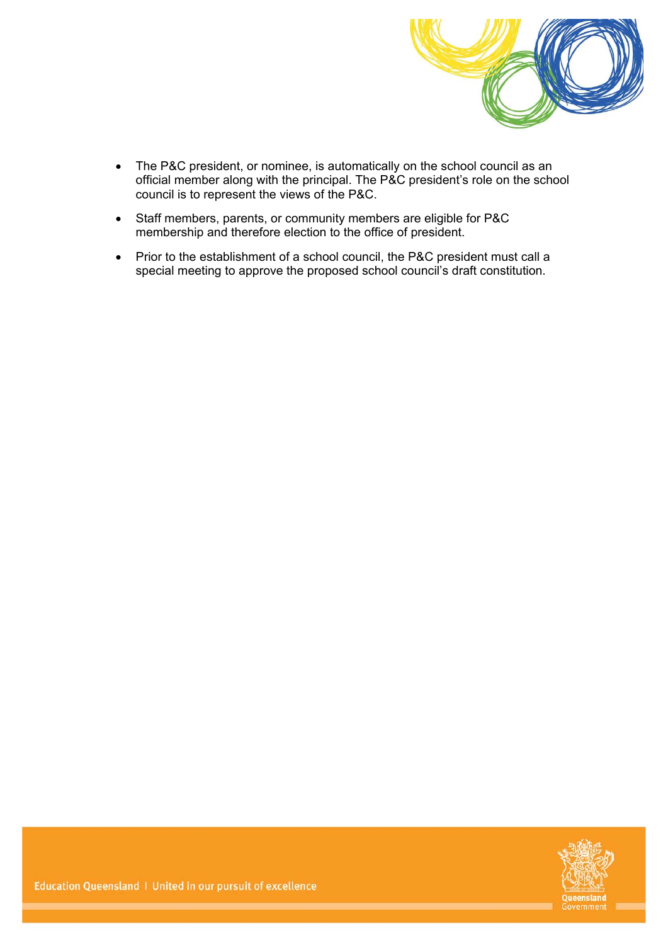

- The P&C president, or nominee, is automatically on the school council as an official member along with the principal. The P&C president's role on the school council is to represent the views of the P&C.
- Staff members, parents, or community members are eligible for P&C membership and therefore election to the office of president.
- Prior to the establishment of a school council, the P&C president must call a special meeting to approve the proposed school council's draft constitution.

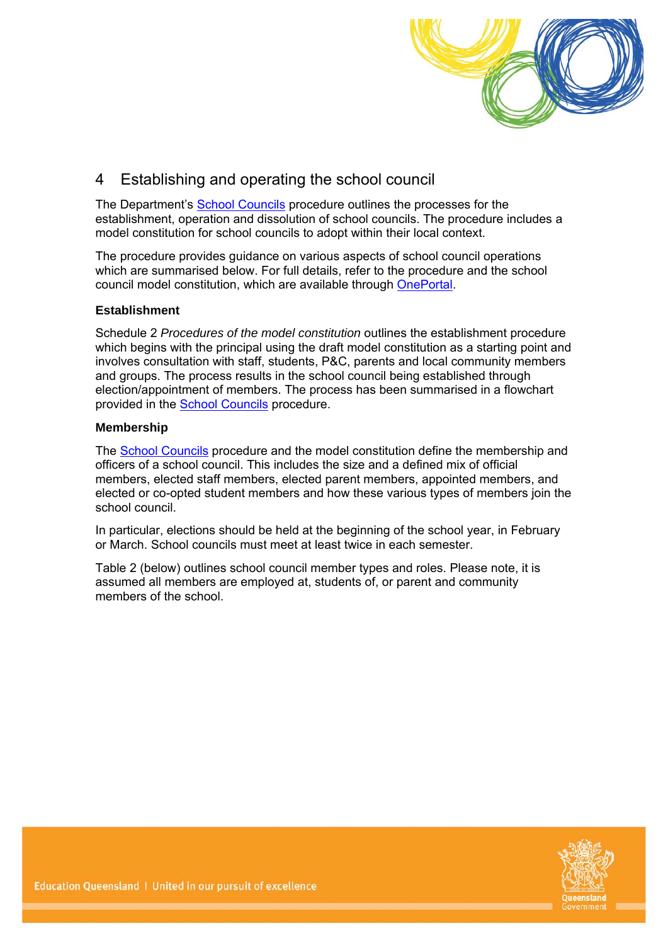

# 4 Establishing and operating the school council

The Department's [School Councils](http://ppr.det.qld.gov.au/education/community/Pages/School-Councils.aspx) procedure outlines the processes for the establishment, operation and dissolution of school councils. The procedure includes a model constitution for school councils to adopt within their local context.

The procedure provides guidance on various aspects of school council operations which are summarised below. For full details, refer to the procedure and the school council model constitution, which are available through [OnePortal.](http://ppr.det.qld.gov.au/education/community/Pages/School-Councils.aspx)

#### **Establishment**

Schedule 2 *Procedures of the model constitution* outlines the establishment procedure which begins with the principal using the draft model constitution as a starting point and involves consultation with staff, students, P&C, parents and local community members and groups. The process results in the school council being established through election/appointment of members. The process has been summarised in a flowchart provided in the [School Councils](http://ppr.det.qld.gov.au/education/community/Pages/School-Councils.aspx) procedure.

#### **Membership**

The [School Councils](http://ppr.det.qld.gov.au/education/community/Pages/School-Councils.aspx) procedure and the model constitution define the membership and officers of a school council. This includes the size and a defined mix of official members, elected staff members, elected parent members, appointed members, and elected or co-opted student members and how these various types of members join the school council.

In particular, elections should be held at the beginning of the school year, in February or March. School councils must meet at least twice in each semester.

Table 2 (below) outlines school council member types and roles. Please note, it is assumed all members are employed at, students of, or parent and community members of the school.

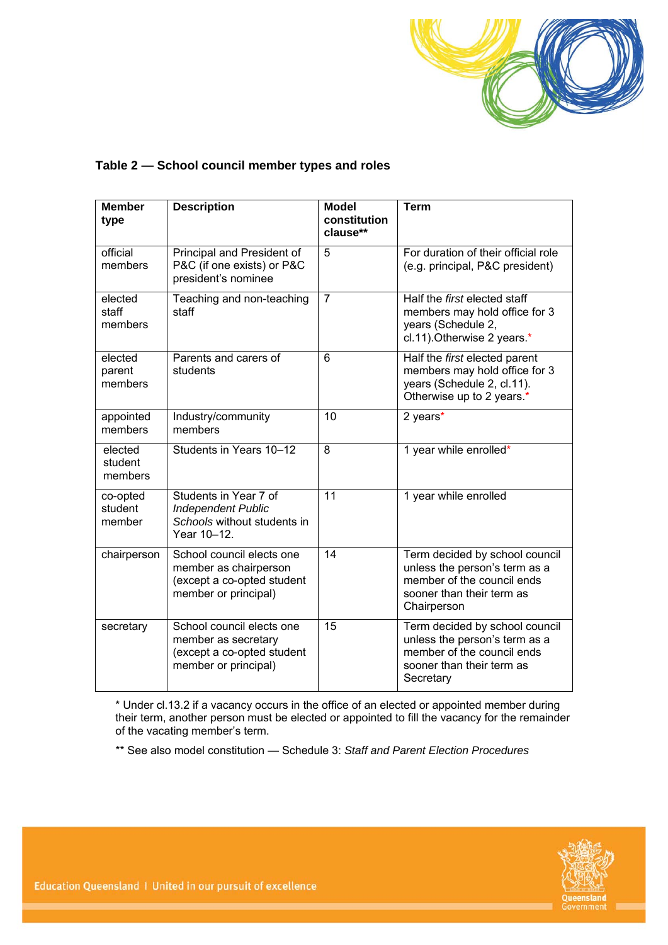

#### **Table 2 — School council member types and roles**

| <b>Member</b><br>type         | <b>Description</b>                                                                                       | <b>Model</b><br>constitution<br>clause** | <b>Term</b>                                                                                                                               |
|-------------------------------|----------------------------------------------------------------------------------------------------------|------------------------------------------|-------------------------------------------------------------------------------------------------------------------------------------------|
| official<br>members           | Principal and President of<br>P&C (if one exists) or P&C<br>president's nominee                          | 5                                        | For duration of their official role<br>(e.g. principal, P&C president)                                                                    |
| elected<br>staff<br>members   | Teaching and non-teaching<br>staff                                                                       | $\overline{7}$                           | Half the first elected staff<br>members may hold office for 3<br>years (Schedule 2,<br>cl.11). Otherwise 2 years.*                        |
| elected<br>parent<br>members  | Parents and carers of<br>students                                                                        | 6                                        | Half the first elected parent<br>members may hold office for 3<br>years (Schedule 2, cl.11).<br>Otherwise up to 2 years.*                 |
| appointed<br>members          | Industry/community<br>members                                                                            | 10                                       | 2 years*                                                                                                                                  |
| elected<br>student<br>members | Students in Years 10-12                                                                                  | 8                                        | 1 year while enrolled*                                                                                                                    |
| co-opted<br>student<br>member | Students in Year 7 of<br><b>Independent Public</b><br>Schools without students in<br>Year 10-12.         | 11                                       | 1 year while enrolled                                                                                                                     |
| chairperson                   | School council elects one<br>member as chairperson<br>(except a co-opted student<br>member or principal) | 14                                       | Term decided by school council<br>unless the person's term as a<br>member of the council ends<br>sooner than their term as<br>Chairperson |
| secretary                     | School council elects one<br>member as secretary<br>(except a co-opted student<br>member or principal)   | 15                                       | Term decided by school council<br>unless the person's term as a<br>member of the council ends<br>sooner than their term as<br>Secretary   |

\* Under cl.13.2 if a vacancy occurs in the office of an elected or appointed member during their term, another person must be elected or appointed to fill the vacancy for the remainder of the vacating member's term.

\*\* See also model constitution — Schedule 3: *Staff and Parent Election Procedures*

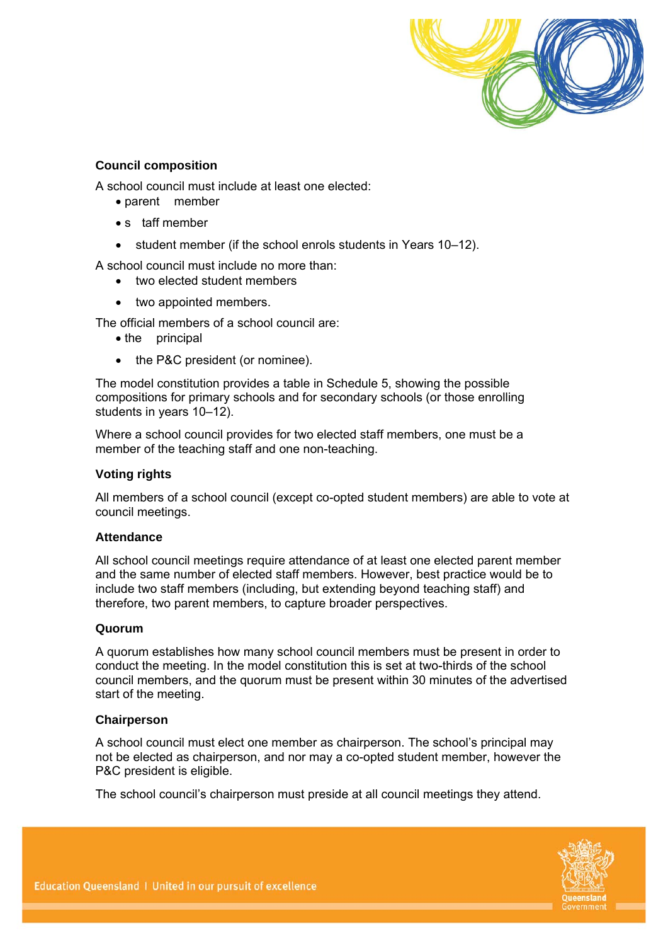

#### **Council composition**

A school council must include at least one elected:

- parent member
- s taff member
- student member (if the school enrols students in Years 10–12).

A school council must include no more than:

- two elected student members
- two appointed members.

The official members of a school council are:

- the principal
- the P&C president (or nominee).

The model constitution provides a table in Schedule 5, showing the possible compositions for primary schools and for secondary schools (or those enrolling students in years 10–12).

Where a school council provides for two elected staff members, one must be a member of the teaching staff and one non-teaching.

#### **Voting rights**

All members of a school council (except co-opted student members) are able to vote at council meetings.

#### **Attendance**

All school council meetings require attendance of at least one elected parent member and the same number of elected staff members. However, best practice would be to include two staff members (including, but extending beyond teaching staff) and therefore, two parent members, to capture broader perspectives.

#### **Quorum**

A quorum establishes how many school council members must be present in order to conduct the meeting. In the model constitution this is set at two-thirds of the school council members, and the quorum must be present within 30 minutes of the advertised start of the meeting.

#### **Chairperson**

A school council must elect one member as chairperson. The school's principal may not be elected as chairperson, and nor may a co-opted student member, however the P&C president is eligible.

The school council's chairperson must preside at all council meetings they attend.

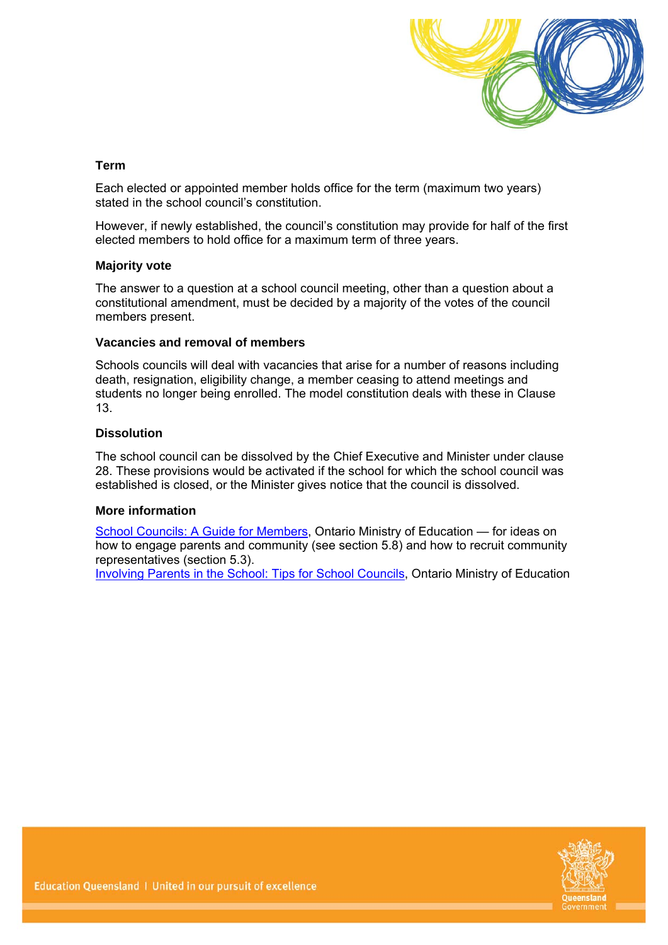

#### **Term**

Each elected or appointed member holds office for the term (maximum two years) stated in the school council's constitution.

However, if newly established, the council's constitution may provide for half of the first elected members to hold office for a maximum term of three years.

#### **Majority vote**

The answer to a question at a school council meeting, other than a question about a constitutional amendment, must be decided by a majority of the votes of the council members present.

#### **Vacancies and removal of members**

Schools councils will deal with vacancies that arise for a number of reasons including death, resignation, eligibility change, a member ceasing to attend meetings and students no longer being enrolled. The model constitution deals with these in Clause 13.

#### **Dissolution**

The school council can be dissolved by the Chief Executive and Minister under clause 28. These provisions would be activated if the school for which the school council was established is closed, or the Minister gives notice that the council is dissolved.

#### **More information**

[School Councils: A Guide for Members,](http://www.edu.gov.on.ca/eng/general/elemsec/council/council02.pdf) Ontario Ministry of Education - for ideas on how to engage parents and community (see section 5.8) and how to recruit community representatives (section 5.3).

[Involving Parents in the School: Tips for School Councils,](http://www.edu.gov.on.ca/eng/parents/involvement/gettingstarted.html) Ontario Ministry of Education

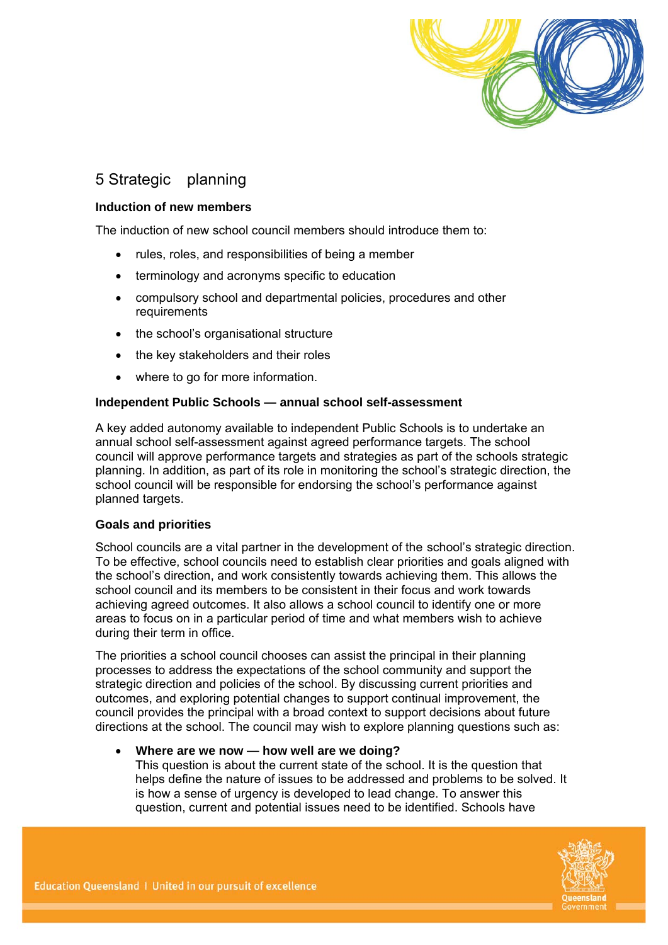

# 5 Strategic planning

#### **Induction of new members**

The induction of new school council members should introduce them to:

- rules, roles, and responsibilities of being a member
- terminology and acronyms specific to education
- compulsory school and departmental policies, procedures and other requirements
- the school's organisational structure
- the key stakeholders and their roles
- where to go for more information.

#### **Independent Public Schools — annual school self-assessment**

A key added autonomy available to independent Public Schools is to undertake an annual school self-assessment against agreed performance targets. The school council will approve performance targets and strategies as part of the schools strategic planning. In addition, as part of its role in monitoring the school's strategic direction, the school council will be responsible for endorsing the school's performance against planned targets.

#### **Goals and priorities**

School councils are a vital partner in the development of the school's strategic direction. To be effective, school councils need to establish clear priorities and goals aligned with the school's direction, and work consistently towards achieving them. This allows the school council and its members to be consistent in their focus and work towards achieving agreed outcomes. It also allows a school council to identify one or more areas to focus on in a particular period of time and what members wish to achieve during their term in office.

The priorities a school council chooses can assist the principal in their planning processes to address the expectations of the school community and support the strategic direction and policies of the school. By discussing current priorities and outcomes, and exploring potential changes to support continual improvement, the council provides the principal with a broad context to support decisions about future directions at the school. The council may wish to explore planning questions such as:

#### **Where are we now — how well are we doing?**

This question is about the current state of the school. It is the question that helps define the nature of issues to be addressed and problems to be solved. It is how a sense of urgency is developed to lead change. To answer this question, current and potential issues need to be identified. Schools have

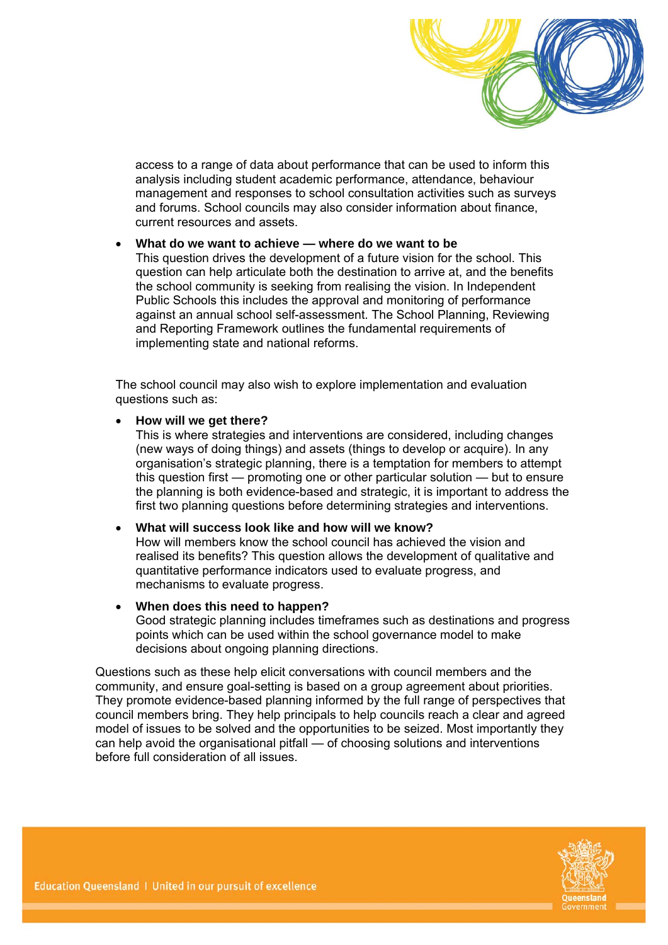

access to a range of data about performance that can be used to inform this analysis including student academic performance, attendance, behaviour management and responses to school consultation activities such as surveys and forums. School councils may also consider information about finance, current resources and assets.

#### **What do we want to achieve — where do we want to be**

This question drives the development of a future vision for the school. This question can help articulate both the destination to arrive at, and the benefits the school community is seeking from realising the vision. In Independent Public Schools this includes the approval and monitoring of performance against an annual school self-assessment. The School Planning, Reviewing and Reporting Framework outlines the fundamental requirements of implementing state and national reforms.

The school council may also wish to explore implementation and evaluation questions such as:

#### **How will we get there?**

This is where strategies and interventions are considered, including changes (new ways of doing things) and assets (things to develop or acquire). In any organisation's strategic planning, there is a temptation for members to attempt this question first — promoting one or other particular solution — but to ensure the planning is both evidence-based and strategic, it is important to address the first two planning questions before determining strategies and interventions.

#### **What will success look like and how will we know?**

How will members know the school council has achieved the vision and realised its benefits? This question allows the development of qualitative and quantitative performance indicators used to evaluate progress, and mechanisms to evaluate progress.

#### **When does this need to happen?**

Good strategic planning includes timeframes such as destinations and progress points which can be used within the school governance model to make decisions about ongoing planning directions.

Questions such as these help elicit conversations with council members and the community, and ensure goal-setting is based on a group agreement about priorities. They promote evidence-based planning informed by the full range of perspectives that council members bring. They help principals to help councils reach a clear and agreed model of issues to be solved and the opportunities to be seized. Most importantly they can help avoid the organisational pitfall — of choosing solutions and interventions before full consideration of all issues.

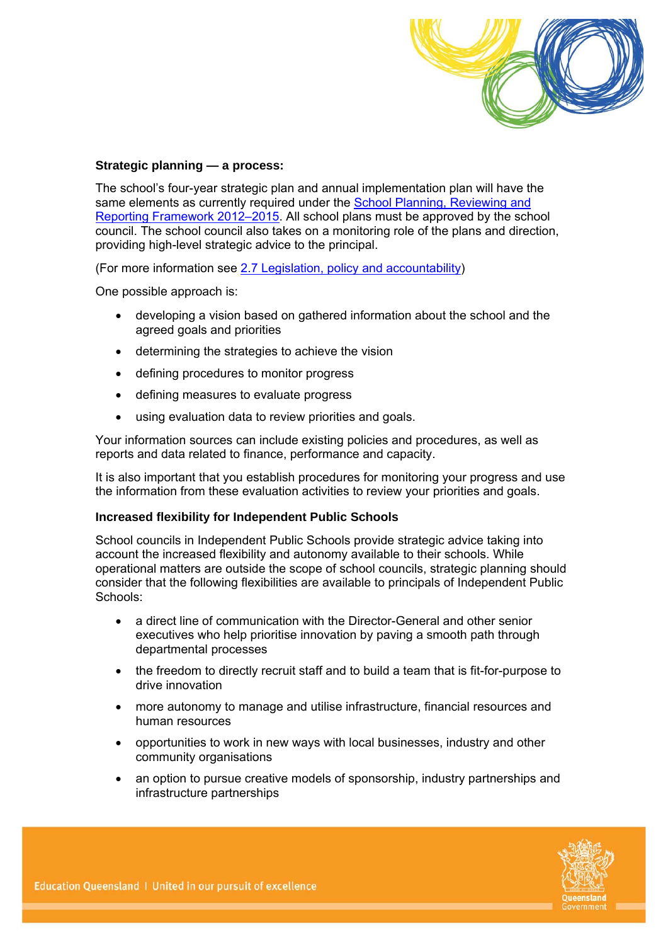

#### **Strategic planning — a process:**

The school's four-year strategic plan and annual implementation plan will have the same elements as currently required under the School Planning, Reviewing and [Reporting Framework 2012–2015](http://education.qld.gov.au/strategic/accountability/pdf/sprr-framework.pdf). All school plans must be approved by the school council. The school council also takes on a monitoring role of the plans and direction, providing high-level strategic advice to the principal.

(For more information see [2.7 Legislation, policy and accountability](#page-18-0))

One possible approach is:

- developing a vision based on gathered information about the school and the agreed goals and priorities
- determining the strategies to achieve the vision
- defining procedures to monitor progress
- defining measures to evaluate progress
- using evaluation data to review priorities and goals.

Your information sources can include existing policies and procedures, as well as reports and data related to finance, performance and capacity.

It is also important that you establish procedures for monitoring your progress and use the information from these evaluation activities to review your priorities and goals.

#### **Increased flexibility for Independent Public Schools**

School councils in Independent Public Schools provide strategic advice taking into account the increased flexibility and autonomy available to their schools. While operational matters are outside the scope of school councils, strategic planning should consider that the following flexibilities are available to principals of Independent Public Schools:

- a direct line of communication with the Director-General and other senior executives who help prioritise innovation by paving a smooth path through departmental processes
- the freedom to directly recruit staff and to build a team that is fit-for-purpose to drive innovation
- more autonomy to manage and utilise infrastructure, financial resources and human resources
- opportunities to work in new ways with local businesses, industry and other community organisations
- an option to pursue creative models of sponsorship, industry partnerships and infrastructure partnerships

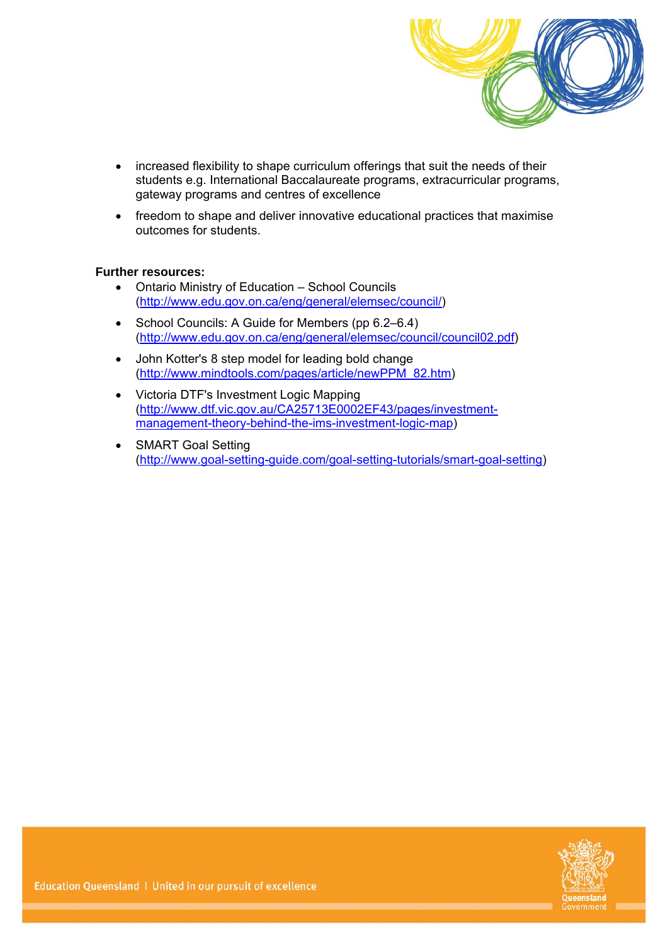

- increased flexibility to shape curriculum offerings that suit the needs of their students e.g. International Baccalaureate programs, extracurricular programs, gateway programs and centres of excellence
- freedom to shape and deliver innovative educational practices that maximise outcomes for students.

#### **Further resources:**

- Ontario Ministry of Education School Councils ([http://www.edu.gov.on.ca/eng/general/elemsec/council/\)](http://www.edu.gov.on.ca/eng/general/elemsec/council/)
- School Councils: A Guide for Members (pp 6.2–6.4) ([http://www.edu.gov.on.ca/eng/general/elemsec/council/council02.pdf\)](http://www.edu.gov.on.ca/eng/general/elemsec/council/council02.pdf)
- John Kotter's 8 step model for leading bold change ([http://www.mindtools.com/pages/article/newPPM\\_82.htm](http://www.mindtools.com/pages/article/newPPM_82.htm))
- Victoria DTF's Investment Logic Mapping ([http://www.dtf.vic.gov.au/CA25713E0002EF43/pages/investment](http://www.dtf.vic.gov.au/CA25713E0002EF43/pages/investment-management-theory-behind-the-ims-investment-logic-map)[management-theory-behind-the-ims-investment-logic-map](http://www.dtf.vic.gov.au/CA25713E0002EF43/pages/investment-management-theory-behind-the-ims-investment-logic-map))
- SMART Goal Setting ([http://www.goal-setting-guide.com/goal-setting-tutorials/smart-goal-setting\)](http://www.goal-setting-guide.com/goal-setting-tutorials/smart-goal-setting)

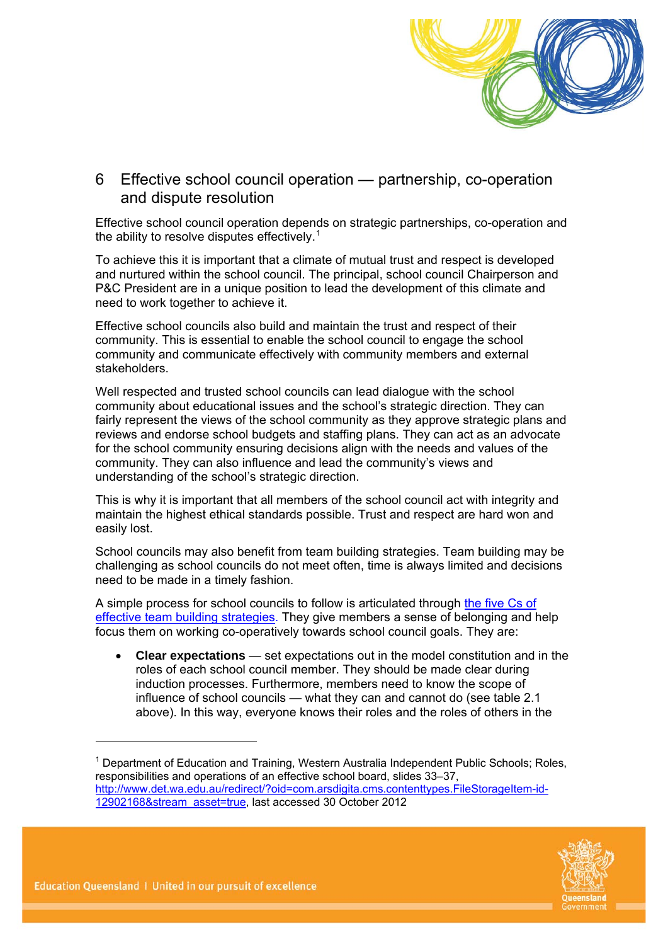

### 6 Effective school council operation — partnership, co-operation and dispute resolution

Effective school council operation depends on strategic partnerships, co-operation and the ability to resolve disputes effectively.<sup>[1](#page-13-0)</sup>

To achieve this it is important that a climate of mutual trust and respect is developed and nurtured within the school council. The principal, school council Chairperson and P&C President are in a unique position to lead the development of this climate and need to work together to achieve it.

Effective school councils also build and maintain the trust and respect of their community. This is essential to enable the school council to engage the school community and communicate effectively with community members and external stakeholders.

Well respected and trusted school councils can lead dialogue with the school community about educational issues and the school's strategic direction. They can fairly represent the views of the school community as they approve strategic plans and reviews and endorse school budgets and staffing plans. They can act as an advocate for the school community ensuring decisions align with the needs and values of the community. They can also influence and lead the community's views and understanding of the school's strategic direction.

This is why it is important that all members of the school council act with integrity and maintain the highest ethical standards possible. Trust and respect are hard won and easily lost.

School councils may also benefit from team building strategies. Team building may be challenging as school councils do not meet often, time is always limited and decisions need to be made in a timely fashion.

A simple process for school councils to follow is articulated through the five Cs of [effective team building strategies](http://www.smartentrepreneur.net/team-building-strategies.html). They give members a sense of belonging and help focus them on working co-operatively towards school council goals. They are:

 **Clear expectations** — set expectations out in the model constitution and in the roles of each school council member. They should be made clear during induction processes. Furthermore, members need to know the scope of influence of school councils — what they can and cannot do (see table 2.1 above). In this way, everyone knows their roles and the roles of others in the

<span id="page-13-0"></span><sup>&</sup>lt;sup>1</sup> Department of Education and Training, Western Australia Independent Public Schools; Roles, responsibilities and operations of an effective school board, slides 33–37, [http://www.det.wa.edu.au/redirect/?oid=com.arsdigita.cms.contenttypes.FileStorageItem-id-](http://www.det.wa.edu.au/redirect/?oid=com.arsdigita.cms.contenttypes.FileStorageItem-id-12902168&stream_asset=true)[12902168&stream\\_asset=true](http://www.det.wa.edu.au/redirect/?oid=com.arsdigita.cms.contenttypes.FileStorageItem-id-12902168&stream_asset=true), last accessed 30 October 2012



-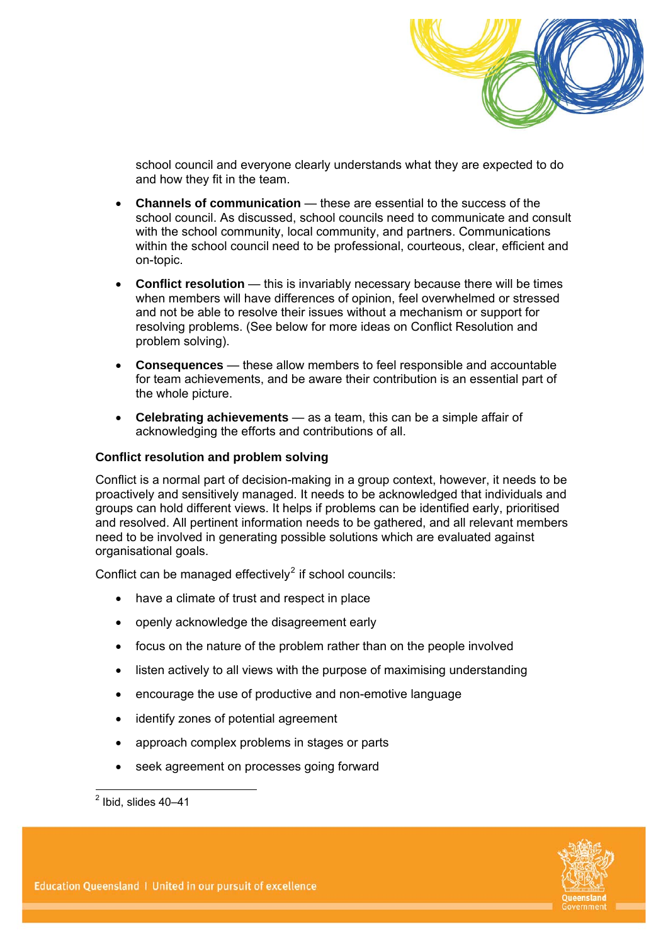

school council and everyone clearly understands what they are expected to do and how they fit in the team.

- **Channels of communication** these are essential to the success of the school council. As discussed, school councils need to communicate and consult with the school community, local community, and partners. Communications within the school council need to be professional, courteous, clear, efficient and on-topic.
- **Conflict resolution** this is invariably necessary because there will be times when members will have differences of opinion, feel overwhelmed or stressed and not be able to resolve their issues without a mechanism or support for resolving problems. (See below for more ideas on Conflict Resolution and problem solving).
- **Consequences** these allow members to feel responsible and accountable for team achievements, and be aware their contribution is an essential part of the whole picture.
- **Celebrating achievements** as a team, this can be a simple affair of acknowledging the efforts and contributions of all.

#### **Conflict resolution and problem solving**

Conflict is a normal part of decision-making in a group context, however, it needs to be proactively and sensitively managed. It needs to be acknowledged that individuals and groups can hold different views. It helps if problems can be identified early, prioritised and resolved. All pertinent information needs to be gathered, and all relevant members need to be involved in generating possible solutions which are evaluated against organisational goals.

Conflict can be managed effectively $2$  if school councils:

- have a climate of trust and respect in place
- openly acknowledge the disagreement early
- focus on the nature of the problem rather than on the people involved
- listen actively to all views with the purpose of maximising understanding
- encourage the use of productive and non-emotive language
- identify zones of potential agreement
- approach complex problems in stages or parts
- seek agreement on processes going forward



<span id="page-14-0"></span> $\frac{1}{2}$  Ibid, slides 40–41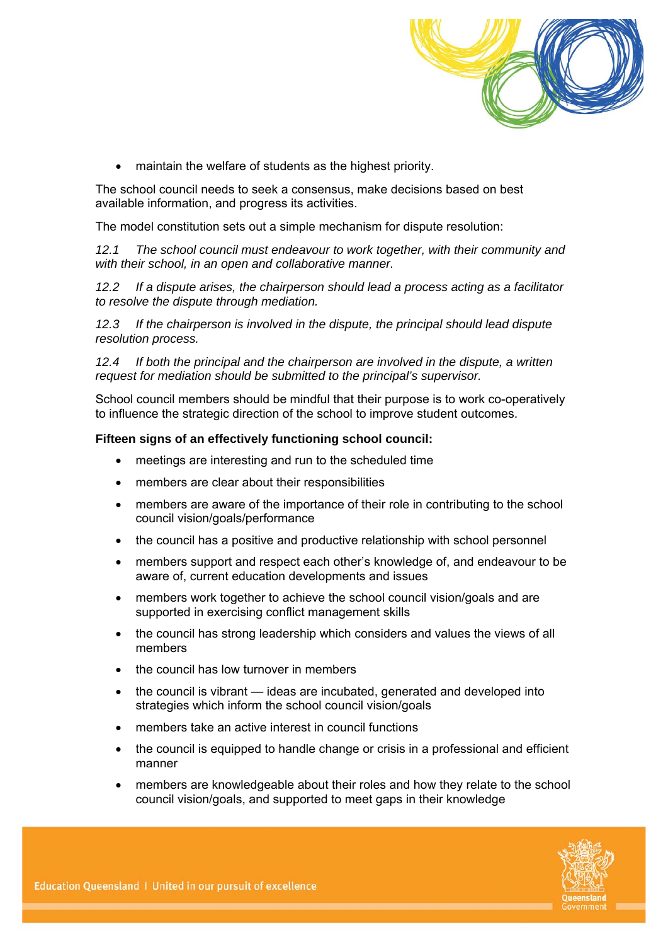

maintain the welfare of students as the highest priority.

The school council needs to seek a consensus, make decisions based on best available information, and progress its activities.

The model constitution sets out a simple mechanism for dispute resolution:

*12.1 The school council must endeavour to work together, with their community and with their school, in an open and collaborative manner.* 

*12.2 If a dispute arises, the chairperson should lead a process acting as a facilitator to resolve the dispute through mediation.* 

*12.3 If the chairperson is involved in the dispute, the principal should lead dispute resolution process.* 

*12.4 If both the principal and the chairperson are involved in the dispute, a written request for mediation should be submitted to the principal's supervisor.* 

School council members should be mindful that their purpose is to work co-operatively to influence the strategic direction of the school to improve student outcomes.

#### **Fifteen signs of an effectively functioning school council:**

- meetings are interesting and run to the scheduled time
- members are clear about their responsibilities
- members are aware of the importance of their role in contributing to the school council vision/goals/performance
- the council has a positive and productive relationship with school personnel
- members support and respect each other's knowledge of, and endeavour to be aware of, current education developments and issues
- members work together to achieve the school council vision/goals and are supported in exercising conflict management skills
- the council has strong leadership which considers and values the views of all members
- the council has low turnover in members
- the council is vibrant ideas are incubated, generated and developed into strategies which inform the school council vision/goals
- members take an active interest in council functions
- the council is equipped to handle change or crisis in a professional and efficient manner
- members are knowledgeable about their roles and how they relate to the school council vision/goals, and supported to meet gaps in their knowledge

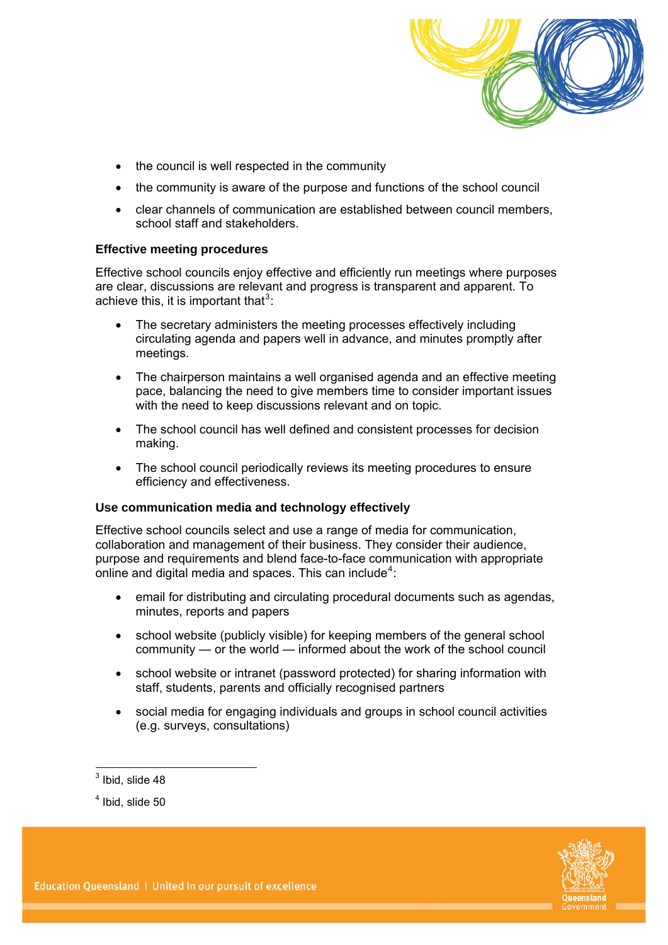

- the council is well respected in the community
- the community is aware of the purpose and functions of the school council
- clear channels of communication are established between council members, school staff and stakeholders.

#### **Effective meeting procedures**

Effective school councils enjoy effective and efficiently run meetings where purposes are clear, discussions are relevant and progress is transparent and apparent. To achieve this, it is important that<sup>[3](#page-16-0)</sup>:

- The secretary administers the meeting processes effectively including circulating agenda and papers well in advance, and minutes promptly after meetings.
- The chairperson maintains a well organised agenda and an effective meeting pace, balancing the need to give members time to consider important issues with the need to keep discussions relevant and on topic.
- The school council has well defined and consistent processes for decision making.
- The school council periodically reviews its meeting procedures to ensure efficiency and effectiveness.

#### **Use communication media and technology effectively**

Effective school councils select and use a range of media for communication, collaboration and management of their business. They consider their audience, purpose and requirements and blend face-to-face communication with appropriate online and digital media and spaces. This can include<sup>[4](#page-16-1)</sup>:

- email for distributing and circulating procedural documents such as agendas, minutes, reports and papers
- school website (publicly visible) for keeping members of the general school community — or the world — informed about the work of the school council
- school website or intranet (password protected) for sharing information with staff, students, parents and officially recognised partners
- social media for engaging individuals and groups in school council activities (e.g. surveys, consultations)

<span id="page-16-1"></span><span id="page-16-0"></span> $<sup>4</sup>$  Ibid, slide 50</sup>



 $\frac{1}{3}$ lbid, slide 48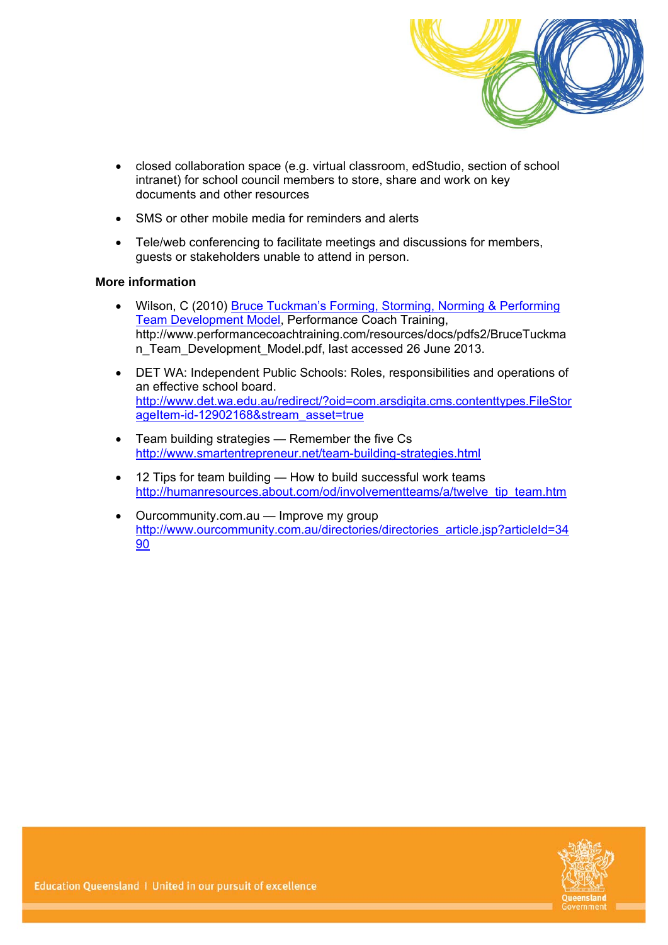

- closed collaboration space (e.g. virtual classroom, edStudio, section of school intranet) for school council members to store, share and work on key documents and other resources
- SMS or other mobile media for reminders and alerts
- Tele/web conferencing to facilitate meetings and discussions for members, guests or stakeholders unable to attend in person.

#### **More information**

- Wilson, C (2010) [Bruce Tuckman's Forming, Storming, Norming & Performing](http://www.performancecoachtraining.com/resources/docs/pdfs2/BruceTuckman_Team_Development_Model.pdf)  [Team Development Model](http://www.performancecoachtraining.com/resources/docs/pdfs2/BruceTuckman_Team_Development_Model.pdf), Performance Coach Training, http://www.performancecoachtraining.com/resources/docs/pdfs2/BruceTuckma n Team Development Model.pdf, last accessed 26 June 2013.
- DET WA: Independent Public Schools: Roles, responsibilities and operations of an effective school board. [http://www.det.wa.edu.au/redirect/?oid=com.arsdigita.cms.contenttypes.FileStor](http://www.det.wa.edu.au/redirect/?oid=com.arsdigita.cms.contenttypes.FileStorageItem-id-12902168&stream_asset=true) [ageItem-id-12902168&stream\\_asset=true](http://www.det.wa.edu.au/redirect/?oid=com.arsdigita.cms.contenttypes.FileStorageItem-id-12902168&stream_asset=true)
- Team building strategies Remember the five Cs <http://www.smartentrepreneur.net/team-building-strategies.html>
- 12 Tips for team building How to build successful work teams [http://humanresources.about.com/od/involvementteams/a/twelve\\_tip\\_team.htm](http://humanresources.about.com/od/involvementteams/a/twelve_tip_team.htm)
- Ourcommunity.com.au Improve my group [http://www.ourcommunity.com.au/directories/directories\\_article.jsp?articleId=34](http://www.ourcommunity.com.au/directories/directories_article.jsp?articleId=3490) [90](http://www.ourcommunity.com.au/directories/directories_article.jsp?articleId=3490)

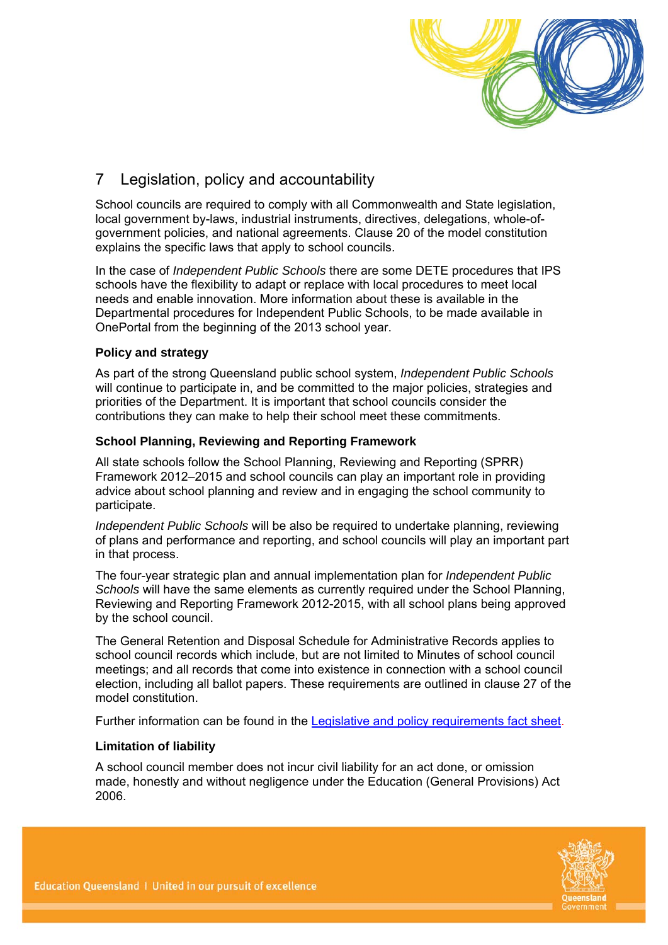

# 7 Legislation, policy and accountability

School councils are required to comply with all Commonwealth and State legislation, local government by-laws, industrial instruments, directives, delegations, whole-ofgovernment policies, and national agreements. Clause 20 of the model constitution explains the specific laws that apply to school councils.

In the case of *Independent Public Schools* there are some DETE procedures that IPS schools have the flexibility to adapt or replace with local procedures to meet local needs and enable innovation. More information about these is available in the Departmental procedures for Independent Public Schools, to be made available in OnePortal from the beginning of the 2013 school year.

#### **Policy and strategy**

As part of the strong Queensland public school system, *Independent Public Schools* will continue to participate in, and be committed to the major policies, strategies and priorities of the Department. It is important that school councils consider the contributions they can make to help their school meet these commitments.

#### <span id="page-18-0"></span>**School Planning, Reviewing and Reporting Framework**

All state schools follow the School Planning, Reviewing and Reporting (SPRR) Framework 2012–2015 and school councils can play an important role in providing advice about school planning and review and in engaging the school community to participate.

*Independent Public Schools* will be also be required to undertake planning, reviewing of plans and performance and reporting, and school councils will play an important part in that process.

The four-year strategic plan and annual implementation plan for *Independent Public Schools* will have the same elements as currently required under the School Planning, Reviewing and Reporting Framework 2012-2015, with all school plans being approved by the school council.

The General Retention and Disposal Schedule for Administrative Records applies to school council records which include, but are not limited to Minutes of school council meetings; and all records that come into existence in connection with a school council election, including all ballot papers. These requirements are outlined in clause 27 of the model constitution.

Further information can be found in the [Legislative and policy requirements fact sheet](https://oneportal.deta.qld.gov.au/EducationDelivery/IndependentPublicSchools/Documents/ips-legislation-policy-fact-sheet.pdf).

#### **Limitation of liability**

A school council member does not incur civil liability for an act done, or omission made, honestly and without negligence under the Education (General Provisions) Act 2006.

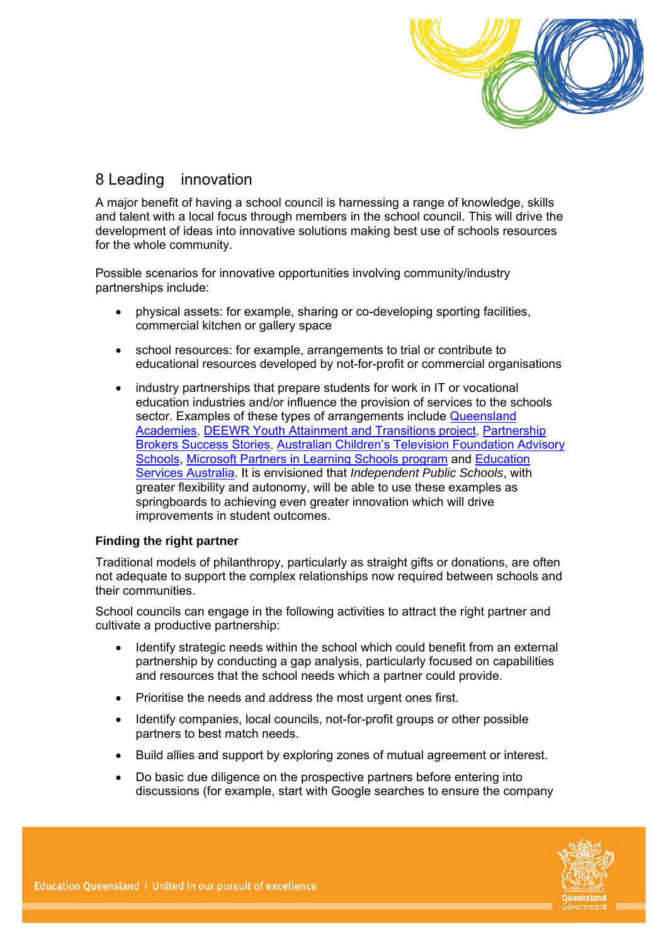

# 8 Leading innovation

A major benefit of having a school council is harnessing a range of knowledge, skills and talent with a local focus through members in the school council. This will drive the development of ideas into innovative solutions making best use of schools resources for the whole community.

Possible scenarios for innovative opportunities involving community/industry partnerships include:

- physical assets: for example, sharing or co-developing sporting facilities, commercial kitchen or gallery space
- school resources: for example, arrangements to trial or contribute to educational resources developed by not-for-profit or commercial organisations
- industry partnerships that prepare students for work in IT or vocational education industries and/or influence the provision of services to the schools sector. Examples of these types of arrangements include Queensland [Academies](http://www.qldacademies.eq.edu.au/), [DEEWR Youth Attainment and Transitions project](http://www.deewr.gov.au/Youth/YouthAttainmentandTransitions/Pages/SBCPB.aspx), [Partnership](http://transitions.youth.gov.au/sites/transitions/successstories/pages/partnershipbrokerssuccessstoriesrollup)  [Brokers Success Stories,](http://transitions.youth.gov.au/sites/transitions/successstories/pages/partnershipbrokerssuccessstoriesrollup) [Australian Children's Television Foundation Advisory](http://www.actf.com.au/education/partnerships/actf_schools)  [Schools](http://www.actf.com.au/education/partnerships/actf_schools), [Microsoft Partners in Learning Schools program](http://www.microsoft.com/india/casestudies/microsoft-office-2010-suites/varsity-college/tablet-pcs-and-student-portals-support-personalised-learning-at-varsity-college/4000010408) and [Education](http://www.esa.edu.au/)  [Services Australia](http://www.esa.edu.au/). It is envisioned that *Independent Public Schools*, with greater flexibility and autonomy, will be able to use these examples as springboards to achieving even greater innovation which will drive improvements in student outcomes.

#### **Finding the right partner**

Traditional models of philanthropy, particularly as straight gifts or donations, are often not adequate to support the complex relationships now required between schools and their communities.

School councils can engage in the following activities to attract the right partner and cultivate a productive partnership:

- Identify strategic needs within the school which could benefit from an external partnership by conducting a gap analysis, particularly focused on capabilities and resources that the school needs which a partner could provide.
- Prioritise the needs and address the most urgent ones first.
- Identify companies, local councils, not-for-profit groups or other possible partners to best match needs.
- Build allies and support by exploring zones of mutual agreement or interest.
- Do basic due diligence on the prospective partners before entering into discussions (for example, start with Google searches to ensure the company

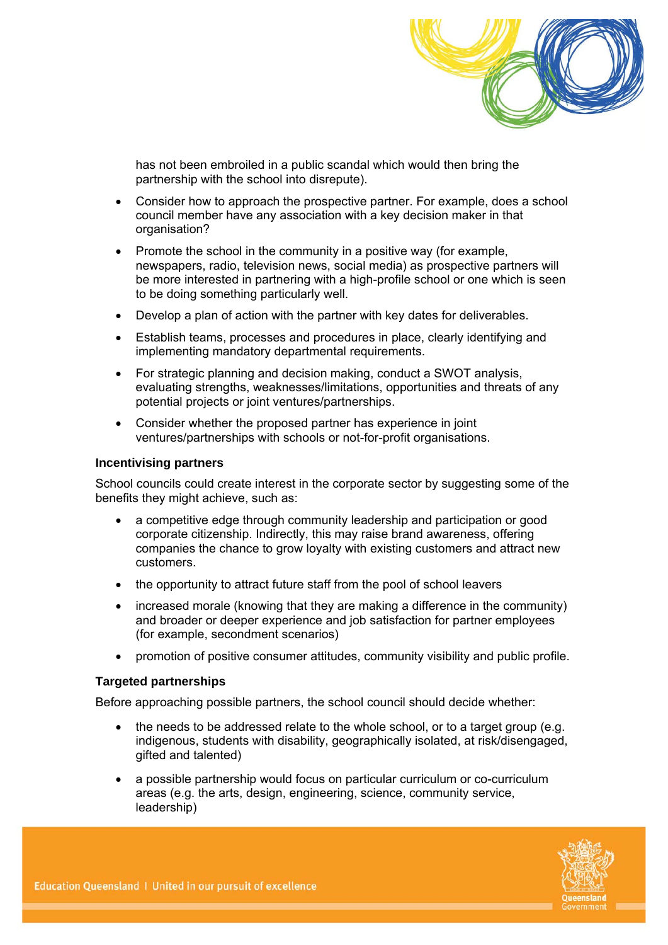

has not been embroiled in a public scandal which would then bring the partnership with the school into disrepute).

- Consider how to approach the prospective partner. For example, does a school council member have any association with a key decision maker in that organisation?
- $\bullet$  Promote the school in the community in a positive way (for example, newspapers, radio, television news, social media) as prospective partners will be more interested in partnering with a high-profile school or one which is seen to be doing something particularly well.
- Develop a plan of action with the partner with key dates for deliverables.
- Establish teams, processes and procedures in place, clearly identifying and implementing mandatory departmental requirements.
- For strategic planning and decision making, conduct a SWOT analysis, evaluating strengths, weaknesses/limitations, opportunities and threats of any potential projects or joint ventures/partnerships.
- Consider whether the proposed partner has experience in joint ventures/partnerships with schools or not-for-profit organisations.

#### **Incentivising partners**

School councils could create interest in the corporate sector by suggesting some of the benefits they might achieve, such as:

- a competitive edge through community leadership and participation or good corporate citizenship. Indirectly, this may raise brand awareness, offering companies the chance to grow loyalty with existing customers and attract new customers.
- the opportunity to attract future staff from the pool of school leavers
- increased morale (knowing that they are making a difference in the community) and broader or deeper experience and job satisfaction for partner employees (for example, secondment scenarios)
- promotion of positive consumer attitudes, community visibility and public profile.

#### **Targeted partnerships**

Before approaching possible partners, the school council should decide whether:

- the needs to be addressed relate to the whole school, or to a target group (e.g. indigenous, students with disability, geographically isolated, at risk/disengaged, gifted and talented)
- a possible partnership would focus on particular curriculum or co-curriculum areas (e.g. the arts, design, engineering, science, community service, leadership)

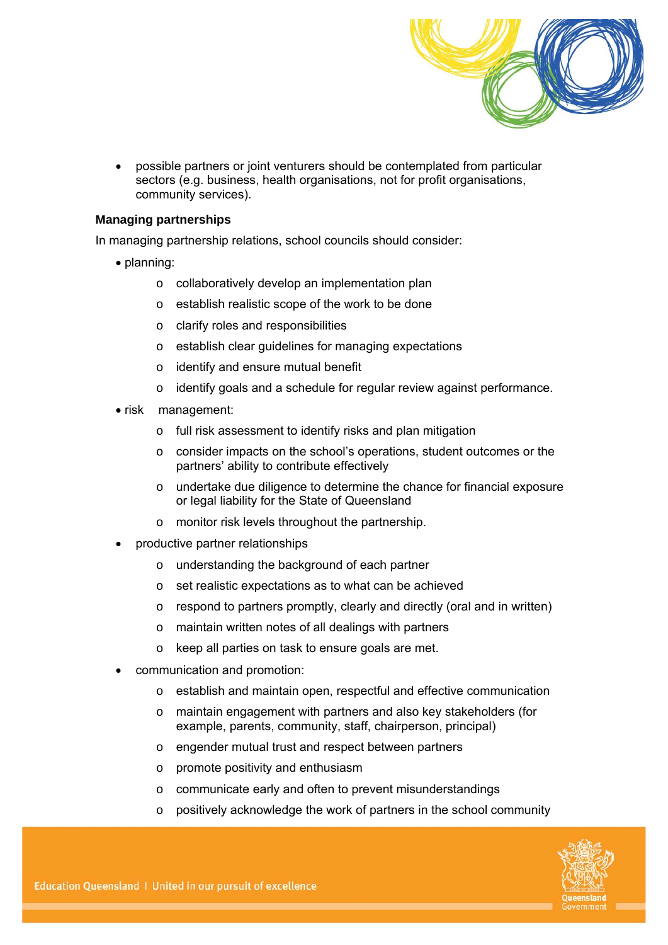

 possible partners or joint venturers should be contemplated from particular sectors (e.g. business, health organisations, not for profit organisations, community services).

#### **Managing partnerships**

In managing partnership relations, school councils should consider:

- planning:
	- o collaboratively develop an implementation plan
	- o establish realistic scope of the work to be done
	- o clarify roles and responsibilities
	- o establish clear guidelines for managing expectations
	- o identify and ensure mutual benefit
	- o identify goals and a schedule for regular review against performance.
- risk management:
	- o full risk assessment to identify risks and plan mitigation
	- o consider impacts on the school's operations, student outcomes or the partners' ability to contribute effectively
	- o undertake due diligence to determine the chance for financial exposure or legal liability for the State of Queensland
	- o monitor risk levels throughout the partnership.
- productive partner relationships
	- o understanding the background of each partner
	- o set realistic expectations as to what can be achieved
	- o respond to partners promptly, clearly and directly (oral and in written)
	- o maintain written notes of all dealings with partners
	- o keep all parties on task to ensure goals are met.
- communication and promotion:
	- o establish and maintain open, respectful and effective communication
	- o maintain engagement with partners and also key stakeholders (for example, parents, community, staff, chairperson, principal)
	- o engender mutual trust and respect between partners
	- o promote positivity and enthusiasm
	- o communicate early and often to prevent misunderstandings
	- o positively acknowledge the work of partners in the school community